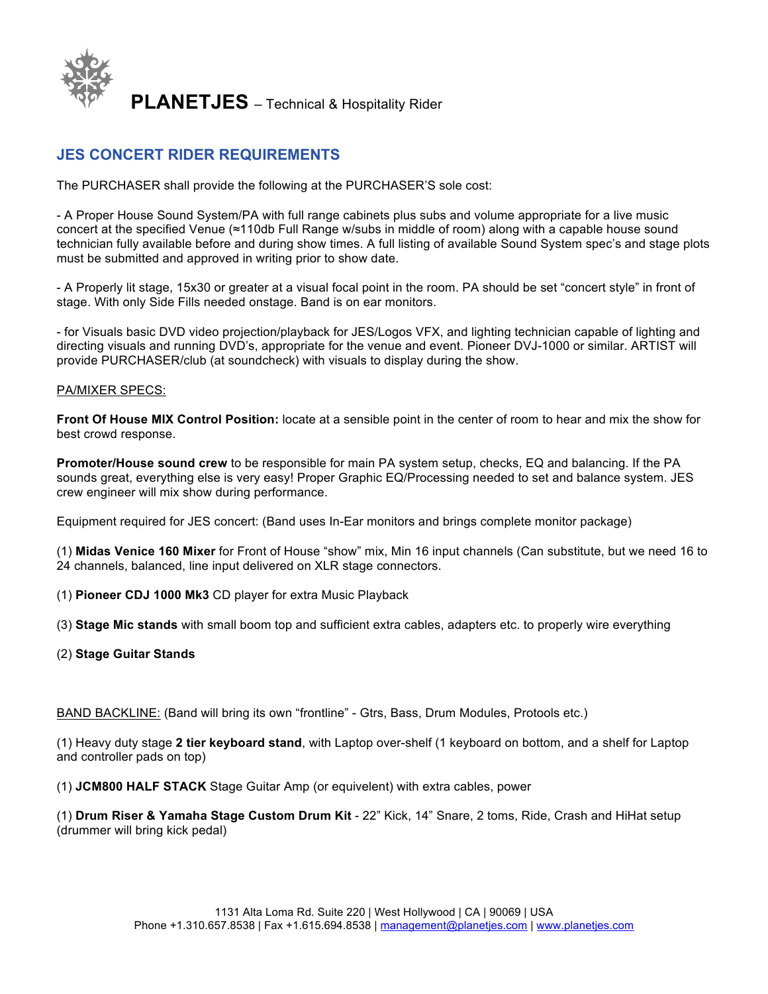

# **JES CONCERT RIDER REQUIREMENTS**

The PURCHASER shall provide the following at the PURCHASER'S sole cost:

- A Proper House Sound System/PA with full range cabinets plus subs and volume appropriate for a live music concert at the specified Venue (≈110db Full Range w/subs in middle of room) along with a capable house sound technician fully available before and during show times. A full listing of available Sound System spec's and stage plots must be submitted and approved in writing prior to show date.

- A Properly lit stage, 15x30 or greater at a visual focal point in the room. PA should be set "concert style" in front of stage. With only Side Fills needed onstage. Band is on ear monitors.

- for Visuals basic DVD video projection/playback for JES/Logos VFX, and lighting technician capable of lighting and directing visuals and running DVD's, appropriate for the venue and event. Pioneer DVJ-1000 or similar. ARTIST will provide PURCHASER/club (at soundcheck) with visuals to display during the show.

#### PA/MIXER SPECS:

**Front Of House MIX Control Position:** locate at a sensible point in the center of room to hear and mix the show for best crowd response.

**Promoter/House sound crew** to be responsible for main PA system setup, checks, EQ and balancing. If the PA sounds great, everything else is very easy! Proper Graphic EQ/Processing needed to set and balance system. JES crew engineer will mix show during performance.

Equipment required for JES concert: (Band uses In-Ear monitors and brings complete monitor package)

(1) **Midas Venice 160 Mixer** for Front of House "show" mix, Min 16 input channels (Can substitute, but we need 16 to 24 channels, balanced, line input delivered on XLR stage connectors.

- (1) **Pioneer CDJ 1000 Mk3** CD player for extra Music Playback
- (3) **Stage Mic stands** with small boom top and sufficient extra cables, adapters etc. to properly wire everything
- (2) **Stage Guitar Stands**

BAND BACKLINE: (Band will bring its own "frontline" - Gtrs, Bass, Drum Modules, Protools etc.)

(1) Heavy duty stage **2 tier keyboard stand**, with Laptop over-shelf (1 keyboard on bottom, and a shelf for Laptop and controller pads on top)

(1) **JCM800 HALF STACK** Stage Guitar Amp (or equivelent) with extra cables, power

(1) **Drum Riser & Yamaha Stage Custom Drum Kit** - 22" Kick, 14" Snare, 2 toms, Ride, Crash and HiHat setup (drummer will bring kick pedal)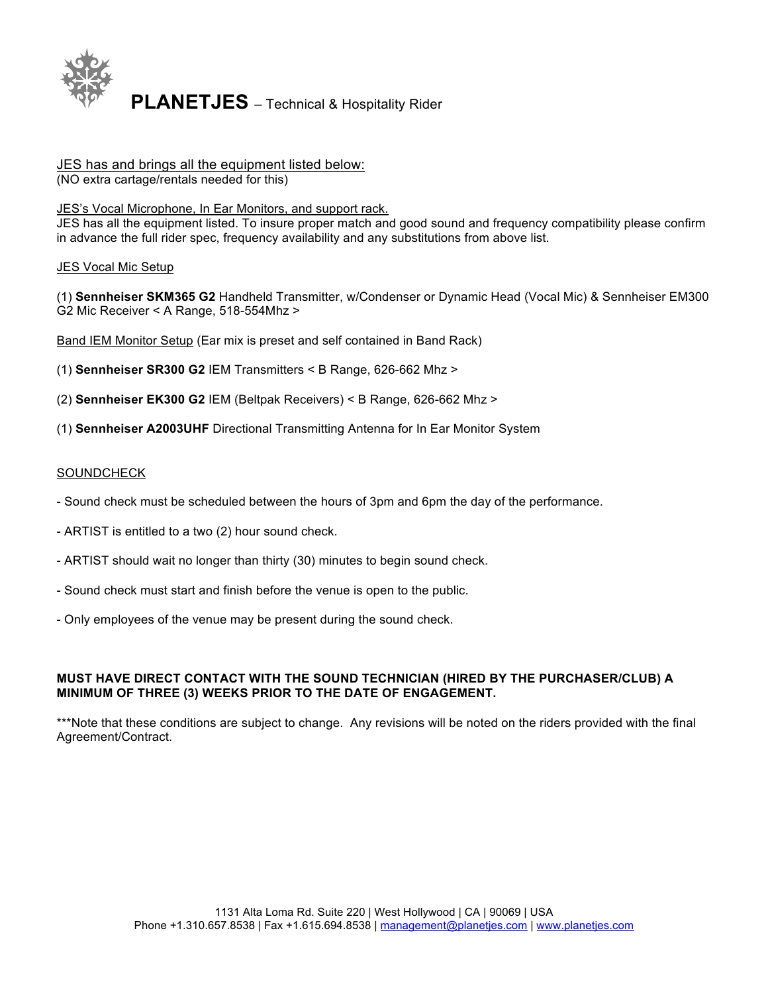

# JES has and brings all the equipment listed below:

(NO extra cartage/rentals needed for this)

# JES's Vocal Microphone, In Ear Monitors, and support rack.

JES has all the equipment listed. To insure proper match and good sound and frequency compatibility please confirm in advance the full rider spec, frequency availability and any substitutions from above list.

# **JES Vocal Mic Setup**

(1) **Sennheiser SKM365 G2** Handheld Transmitter, w/Condenser or Dynamic Head (Vocal Mic) & Sennheiser EM300 G2 Mic Receiver < A Range, 518-554Mhz >

Band IEM Monitor Setup (Ear mix is preset and self contained in Band Rack)

(1) **Sennheiser SR300 G2** IEM Transmitters < B Range, 626-662 Mhz >

- (2) **Sennheiser EK300 G2** IEM (Beltpak Receivers) < B Range, 626-662 Mhz >
- (1) **Sennheiser A2003UHF** Directional Transmitting Antenna for In Ear Monitor System

# SOUNDCHECK

- Sound check must be scheduled between the hours of 3pm and 6pm the day of the performance.
- ARTIST is entitled to a two (2) hour sound check.
- ARTIST should wait no longer than thirty (30) minutes to begin sound check.
- Sound check must start and finish before the venue is open to the public.
- Only employees of the venue may be present during the sound check.

# **MUST HAVE DIRECT CONTACT WITH THE SOUND TECHNICIAN (HIRED BY THE PURCHASER/CLUB) A MINIMUM OF THREE (3) WEEKS PRIOR TO THE DATE OF ENGAGEMENT.**

\*\*\*Note that these conditions are subject to change. Any revisions will be noted on the riders provided with the final Agreement/Contract.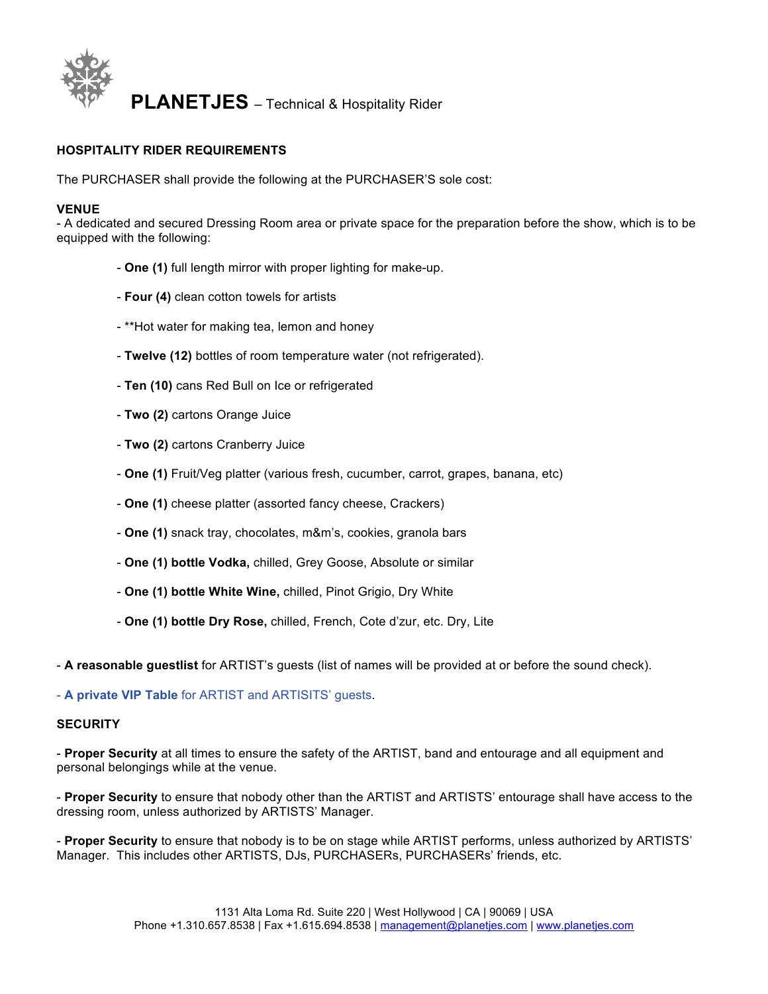

#### **HOSPITALITY RIDER REQUIREMENTS**

The PURCHASER shall provide the following at the PURCHASER'S sole cost:

#### **VENUE**

- A dedicated and secured Dressing Room area or private space for the preparation before the show, which is to be equipped with the following:

- **One (1)** full length mirror with proper lighting for make-up.
- **Four (4)** clean cotton towels for artists
- \*\*Hot water for making tea, lemon and honey
- **Twelve (12)** bottles of room temperature water (not refrigerated).
- **Ten (10)** cans Red Bull on Ice or refrigerated
- **Two (2)** cartons Orange Juice
- **Two (2)** cartons Cranberry Juice
- **One (1)** Fruit/Veg platter (various fresh, cucumber, carrot, grapes, banana, etc)
- **One (1)** cheese platter (assorted fancy cheese, Crackers)
- **One (1)** snack tray, chocolates, m&m's, cookies, granola bars
- **One (1) bottle Vodka,** chilled, Grey Goose, Absolute or similar
- **One (1) bottle White Wine,** chilled, Pinot Grigio, Dry White
- **One (1) bottle Dry Rose,** chilled, French, Cote d'zur, etc. Dry, Lite

- **A reasonable guestlist** for ARTIST's guests (list of names will be provided at or before the sound check).

- **A private VIP Table** for ARTIST and ARTISITS' guests.

#### **SECURITY**

- **Proper Security** at all times to ensure the safety of the ARTIST, band and entourage and all equipment and personal belongings while at the venue.

- **Proper Security** to ensure that nobody other than the ARTIST and ARTISTS' entourage shall have access to the dressing room, unless authorized by ARTISTS' Manager.

- **Proper Security** to ensure that nobody is to be on stage while ARTIST performs, unless authorized by ARTISTS' Manager. This includes other ARTISTS, DJs, PURCHASERs, PURCHASERs' friends, etc.